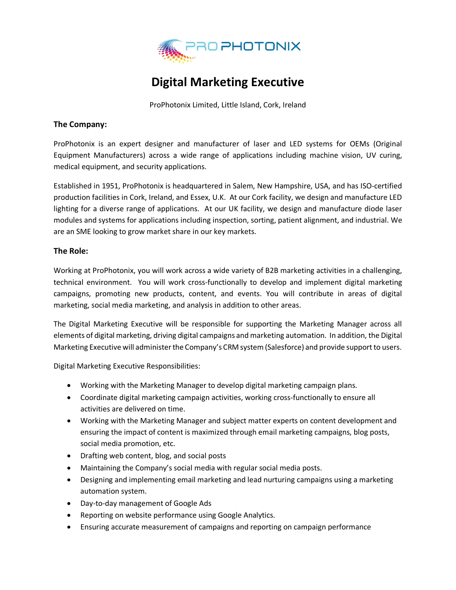

## **Digital Marketing Executive**

ProPhotonix Limited, Little Island, Cork, Ireland

## **The Company:**

ProPhotonix is an expert designer and manufacturer of laser and LED systems for OEMs (Original Equipment Manufacturers) across a wide range of applications including machine vision, UV curing, medical equipment, and security applications.

Established in 1951, ProPhotonix is headquartered in Salem, New Hampshire, USA, and has ISO-certified production facilities in Cork, Ireland, and Essex, U.K. At our Cork facility, we design and manufacture LED lighting for a diverse range of applications. At our UK facility, we design and manufacture diode laser modules and systems for applications including inspection, sorting, patient alignment, and industrial. We are an SME looking to grow market share in our key markets.

## **The Role:**

Working at ProPhotonix, you will work across a wide variety of B2B marketing activities in a challenging, technical environment. You will work cross-functionally to develop and implement digital marketing campaigns, promoting new products, content, and events. You will contribute in areas of digital marketing, social media marketing, and analysis in addition to other areas.

The Digital Marketing Executive will be responsible for supporting the Marketing Manager across all elements of digital marketing, driving digital campaigns and marketing automation. In addition, the Digital Marketing Executive will administer the Company's CRM system (Salesforce) and provide support to users.

Digital Marketing Executive Responsibilities:

- Working with the Marketing Manager to develop digital marketing campaign plans.
- Coordinate digital marketing campaign activities, working cross-functionally to ensure all activities are delivered on time.
- Working with the Marketing Manager and subject matter experts on content development and ensuring the impact of content is maximized through email marketing campaigns, blog posts, social media promotion, etc.
- Drafting web content, blog, and social posts
- Maintaining the Company's social media with regular social media posts.
- Designing and implementing email marketing and lead nurturing campaigns using a marketing automation system.
- Day-to-day management of Google Ads
- Reporting on website performance using Google Analytics.
- Ensuring accurate measurement of campaigns and reporting on campaign performance